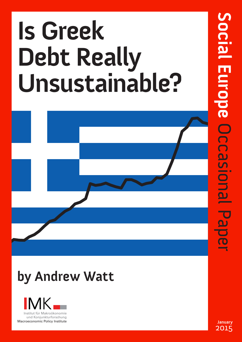# **Is Greek Debt Really Unsustainable?**



## **by Andrew Watt**



**January**  2015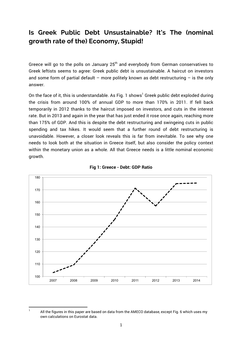### **Is Greek Public Debt Unsustainable? It's The (nominal growth rate of the) Economy, Stupid!**

Greece will go to the polls on January  $25<sup>th</sup>$  and everybody from German conservatives to Greek leftists seems to agree: Greek public debt is unsustainable. A haircut on investors and some form of partial default – more politely known as debt restructuring – is the only answer.

On the face of it, this is understandable. As Fig. 1 shows<sup>1</sup> Greek public debt exploded during the crisis from around 100% of annual GDP to more than 170% in 2011. If fell back temporarily in 2012 thanks to the haircut imposed on investors, and cuts in the interest rate. But in 2013 and again in the year that has just ended it rose once again, reaching more than 175% of GDP. And this is despite the debt restructuring and swingeing cuts in public spending and tax hikes. It would seem that a further round of debt restructuring is unavoidable. However, a closer look reveals this is far from inevitable. To see why one needs to look both at the situation in Greece itself, but also consider the policy context within the monetary union as a whole. All that Greece needs is a little nominal economic growth.





1

All the figures in this paper are based on data from the AMECO database, except Fig. 6 which uses my own calculations on Eurostat data.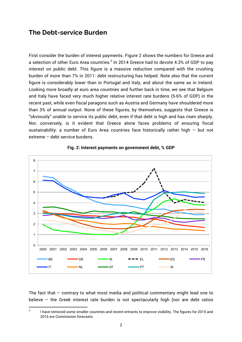#### **The Debt-service Burden**

First consider the burden of interest payments. Figure 2 shows the numbers for Greece and a selection of other Euro Area countries. $^2$  In 2014 Greece had to devote 4.3% of GDP to pay interest on public debt. This figure is a massive reduction compared with the crushing burden of more than 7% in 2011: debt restructuring has helped. Note also that the current figure is considerably lower than in Portugal and Italy, and about the same as in Ireland. Looking more broadly at euro area countries and further back in time, we see that Belgium and Italy have faced very much higher relative interest rate burdens (5-6% of GDP) in the recent past, while even fiscal paragons such as Austria and Germany have shouldered more than 3% of annual output. None of these figures, by themselves, suggests that Greece is "obviously" unable to service its public debt, even if that debt is high and has risen sharply. Nor, conversely, is it evident that Greece alone faces problems of ensuring fiscal sustainability: a number of Euro Area countries face historically rather high – but not extreme – debt service burdens.



#### **Fig. 2: Interest payments on government debt, % GDP**

The fact that – contrary to what most media and political commentary might lead one to believe – the Greek interest rate burden is not spectacularly high (nor are debt ratios

 $\overline{2}$  I have removed some smaller countries and recent entrants to improve visibility. The figures for 2015 and 2016 are Commission forecasts.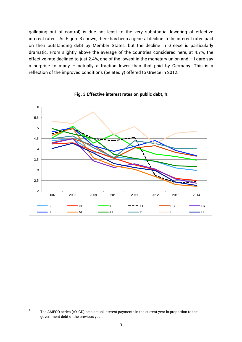galloping out of control) is due not least to the very substantial lowering of effective interest rates.<sup>3</sup> As Figure 3 shows, there has been a general decline in the interest rates paid on their outstanding debt by Member States, but the decline in Greece is particularly dramatic. From slightly above the average of the countries considered here, at 4.7%, the effective rate declined to just 2.4%, one of the lowest in the monetary union and  $-1$  dare say a surprise to many – actually a fraction lower than that paid by Germany. This is a reflection of the improved conditions (belatedly) offered to Greece in 2012.





<sup>3</sup> The AMECO series (AYIGD) sets actual interest payments in the current year in proportion to the government debt of the previous year.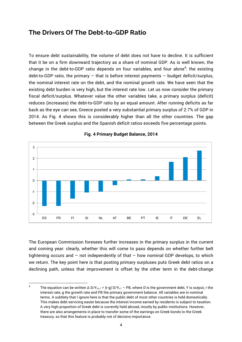#### **The Drivers Of The Debt-to-GDP Ratio**

To ensure debt sustainability, the volume of debt does not have to decline. It is sufficient that it be on a firm downward trajectory as a share of nominal GDP. As is well known, the change in the debt-to-GDP ratio depends on four variables, and four alone<sup>4</sup>: the existing debt-to-GDP ratio, the primary – that is before interest payments – budget deficit/surplus, the nominal interest rate on the debt, and the nominal growth rate. We have seen that the existing debt burden is very high, but the interest rate low. Let us now consider the primary fiscal deficit/surplus. Whatever value the other variables take, a primary surplus (deficit) reduces (increases) the debt-to-GDP ratio by an equal amount. After running deficits as far back as the eye can see, Greece posted a very substantial primary surplus of 2.7% of GDP in 2014. As Fig. 4 shows this is considerably higher than all the other countries. The gap between the Greek surplus and the Spanish deficit ratios exceeds five percentage points.



**Fig. 4 Primary Budget Balance, 2014**

The European Commission foresees further increases in the primary surplus in the current and coming year: clearly, whether this will come to pass depends on whether further belt tightening occurs and  $-$  not independently of that  $-$  how nominal GDP develops, to which we return. The key point here is that posting primary surpluses puts Greek debt ratios on a declining path, unless that improvement is offset by the other term in the debt-change

<sup>4</sup> The equation can be written  $\Delta$  D/Y<sub>t-t-1</sub> = (r-g) D/Y<sub>t-1</sub> – PB, where D is the government debt, Y is output, r the interest rate, g the growth rate and PB the primary government balance. All variables are in nominal terms. A subtlety that I ignore here is that the public debt of most other countries is held domestically. This makes debt servicing easier because the interest income earned by residents is subject to taxation. A very high proportion of Greek debt is currently held abroad, mostly by public institutions. However, there are also arrangements in place to transfer some of the earnings on Greek bonds to the Greek treasury, so that this feature is probably not of decisive importance.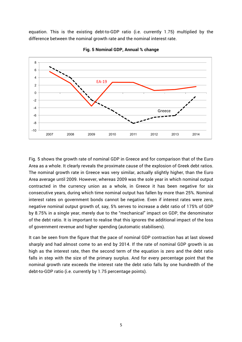equation. This is the existing debt-to-GDP ratio (i.e. currently 1.75) multiplied by the difference between the nominal growth rate and the nominal interest rate.



**Fig. 5 Nominal GDP, Annual % change**

Fig. 5 shows the growth rate of nominal GDP in Greece and for comparison that of the Euro Area as a whole. It clearly reveals the proximate cause of the explosion of Greek debt ratios. The nominal growth rate in Greece was very similar, actually slightly higher, than the Euro Area average until 2009. However, whereas 2009 was the sole year in which nominal output contracted in the currency union as a whole, in Greece it has been negative for six consecutive years, during which time nominal output has fallen by more than 25%. Nominal interest rates on government bonds cannot be negative. Even if interest rates were zero, negative nominal output growth of, say, 5% serves to increase a debt ratio of 175% of GDP by 8.75% in a single year, merely due to the "mechanical" impact on GDP, the denominator of the debt ratio. It is important to realise that this ignores the additional impact of the loss of government revenue and higher spending (automatic stabilisers).

It can be seen from the figure that the pace of nominal GDP contraction has at last slowed sharply and had almost come to an end by 2014. If the rate of nominal GDP growth is as high as the interest rate, then the second term of the equation is zero and the debt ratio falls in step with the size of the primary surplus. And for every percentage point that the nominal growth rate exceeds the interest rate the debt ratio falls by one hundredth of the debt-to-GDP ratio (i.e. currently by 1.75 percentage points).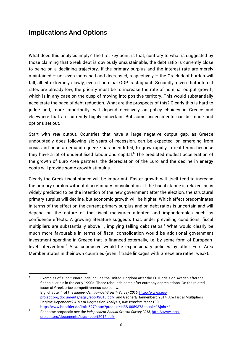### **Implications And Options**

What does this analysis imply? The first key point is that, contrary to what is suggested by those claiming that Greek debt is obviously unsustainable, the debt ratio is currently close to being on a declining trajectory. If the primary surplus and the interest rate are merely maintained – not even increased and decreased, respectively – the Greek debt burden will fall, albeit extremely slowly, even if nominal GDP is stagnant. Secondly, given that interest rates are already low, the priority must be to increase the rate of nominal output growth, which is in any case on the cusp of moving into positive territory. This would substantially accelerate the pace of debt reduction. What are the prospects of this? Clearly this is hard to judge and, more importantly, will depend decisively on policy choices in Greece and elsewhere that are currently highly uncertain. But some assessments can be made and options set out.

Start with *real* output. Countries that have a large negative output gap, as Greece undoubtedly does following six years of recession, can be expected, on emerging from crisis and once a demand squeeze has been lifted, to grow rapidly in real terms because they have a lot of underutilised labour and capital.<sup>5</sup> The predicted modest acceleration of the growth of Euro Area partners, the depreciation of the Euro and the decline in energy costs will provide some growth stimulus.

Clearly the Greek fiscal stance will be important. Faster growth will itself tend to increase the primary surplus without discretionary consolidation. If the fiscal stance is relaxed, as is widely predicted to be the intention of the new government after the election, the structural primary surplus will decline, but economic growth will be higher. Which effect predominates in terms of the effect on the current primary surplus and on debt ratios is uncertain and will depend on the nature of the fiscal measures adopted and imponderables such as confidence effects. A growing literature suggests that, under prevailing conditions, fiscal multipliers are substantially above 1, implying falling debt ratios. <sup>6</sup> What would clearly be much more favourable in terms of fiscal consolidation would be additional government investment spending in Greece that is financed externally, i.e. by some form of Europeanlevel intervention.<sup>7</sup> Also conducive would be expansionary policies by other Euro Area Member States in their own countries (even if trade linkages with Greece are rather weak).

<u> 1989 - Johann Barn, mars ann an t-Amhair an t-Amhair an t-Amhair an t-Amhair an t-Amhair an t-Amhair an t-Amh</u>

<sup>5</sup> Examples of such turnarounds include the United Kingdom after the ERM crisis or Sweden after the financial crisis in the early 1990s. These rebounds came after currency depreciations. On the related issue of Greek price competitiveness see below.

<sup>6</sup> E.g. chapter 1 of the *independent Annual Growth Survey 2015*, http://www.iagsproject.org/documents/iags\_report2015.pdf/, and Gechert/Rannenberg 2014, Are Fiscal Multipliers Regime-Dependent? A Meta Regression Analysis, *IMK Working Paper* 139, http://www.boeckler.de/imk\_5279.htm?produkt=HBS-005937&chunk=1&jahr=/

<sup>7</sup> For some proposals see the *independent Annual Growth Survey 2015*, http://www.iagsproject.org/documents/iags\_report2015.pdf/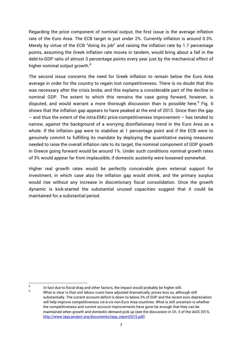Regarding the price component of nominal output, the first issue is the average inflation rate of the Euro Area. The ECB target is just under 2%. Currently inflation is around 0.3%. Merely by virtue of the ECB "doing its job" and raising the inflation rate by 1.7 percentage points, assuming the Greek inflation rate moves in tandem, would bring about a fall in the debt-to-GDP ratio of almost 3 percentage points every year just by the mechanical effect of higher nominal output growth.<sup>8</sup>

The second issue concerns the need for Greek inflation to remain below the Euro Area average in order for the country to regain lost competitiveness. There is no doubt that this was necessary after the crisis broke, and this explains a considerable part of the decline in nominal GDP. The extent to which this remains the case going forward, however, is disputed, and would warrant a more thorough discussion than is possible here.<sup>9</sup> Fig. 6 shows that the inflation gap appears to have peaked at the end of 2013. Since then the gap – and thus the extent of the intra-EMU price-competitiveness improvement – has tended to narrow, against the background of a worrying disinflationary trend in the Euro Area as a whole. If the inflation gap were to stabilise at 1 percentage point and if the ECB were to genuinely commit to fulfilling its mandate by deploying the quantitative easing measures needed to raise the overall inflation rate to its target, the nominal component of GDP growth in Greece going forward would be around 1%. Under such conditions nominal growth rates of 3% would appear far from implausible, if domestic austerity were loosened somewhat.

Higher real growth rates would be perfectly conceivable given external support for investment, in which case also the inflation gap would shrink, and the primary surplus would rise without any increase in discretionary fiscal consolidation. Once the growth dynamic is kick-started the substantial unused capacities suggest that it could be maintained for a substantial period.

<sup>8</sup> 9

In fact due to fiscal drag and other factors, the impact would probably be higher still.

What is clear is that unit labour costs have adjusted dramatically, prices less so, although still substantially. The current account deficit is down to below 3% of GDP and the recent euro depreciation will help improve competitiveness vis-à-vis non-Euro Area countries. What is still uncertain is whether the competitiveness and current account improvements have gone far enough that they can be maintained when growth and domestic demand pick up (see the discussion in Ch. 5 of the iAGS 2015, http://www.iags-project.org/documents/iags\_report2015.pdf/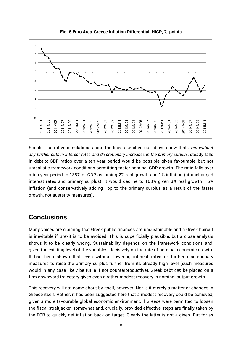

**Fig. 6 Euro Area-Greece Inflation Differential, HICP, %-points**

Simple illustrative simulations along the lines sketched out above show that *even without any further cuts in interest rates and discretionary increases in the primary surplus*, steady falls in debt-to-GDP ratios over a ten year period would be possible given favourable, but not unrealistic framework conditions permitting faster nominal GDP growth. The ratio falls over a ten-year period to 138% of GDP assuming 2% real growth and 1% inflation (at unchanged interest rates and primary surplus). It would decline to 108% given 3% real growth 1.5% inflation (and conservatively adding 1pp to the primary surplus as a result of the faster growth, not austerity measures).

#### **Conclusions**

Many voices are claiming that Greek public finances are unsustainable and a Greek haircut is inevitable if Grexit is to be avoided. This is superficially plausible, but a close analysis shows it to be clearly wrong. Sustainability depends on the framework conditions and, given the existing level of the variables, decisively on the rate of nominal economic growth. It has been shown that even without lowering interest rates or further discretionary measures to raise the primary surplus further from its already high level (such measures would in any case likely be futile if not counterproductive), Greek debt *can* be placed on a firm downward trajectory given even a rather modest recovery in nominal output growth.

This recovery will not come about by itself, however. Nor is it merely a matter of changes in Greece itself. Rather, it has been suggested here that a modest recovery could be achieved, given a more favourable global economic environment, if Greece were permitted to loosen the fiscal straitjacket somewhat and, crucially, provided effective steps are finally taken by the ECB to quickly get inflation back on target. Clearly the latter is not a given. But for as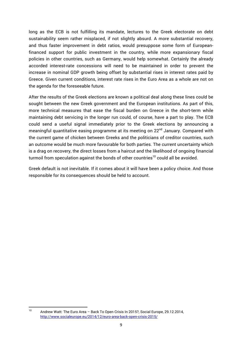long as the ECB is not fulfilling its mandate, lectures to the Greek electorate on debt sustainability seem rather misplaced, if not slightly absurd. A more substantial recovery, and thus faster improvement in debt ratios, would presuppose some form of Europeanfinanced support for public investment in the country, while more expansionary fiscal policies in other countries, such as Germany, would help somewhat. Certainly the already accorded interest-rate concessions will need to be maintained in order to prevent the increase in nominal GDP growth being offset by substantial rises in interest rates paid by Greece. Given current conditions, interest rate rises in the Euro Area as a whole are not on the agenda for the foreseeable future.

After the results of the Greek elections are known a political deal along these lines could be sought between the new Greek government and the European institutions. As part of this, more technical measures that ease the fiscal burden on Greece in the short-term while maintaining debt servicing in the longer run could, of course, have a part to play. The ECB could send a useful signal immediately prior to the Greek elections by announcing a meaningful quantitative easing programme at its meeting on 22<sup>nd</sup> January. Compared with the current game of chicken between Greeks and the politicians of creditor countries, such an outcome would be much more favourable for both parties. The current uncertainty which is a drag on recovery, the direct losses from a haircut and the likelihood of ongoing financial turmoil from speculation against the bonds of other countries<sup>10</sup> could all be avoided.

Greek default is not inevitable. If it comes about it will have been a policy choice. And those responsible for its consequences should be held to account.

<sup>10</sup> Andrew Watt: The Euro Area – Back To Open Crisis In 2015?, Social Europe, 29.12.2014, http://www.socialeurope.eu/2014/12/euro-area-back-open-crisis-2015/